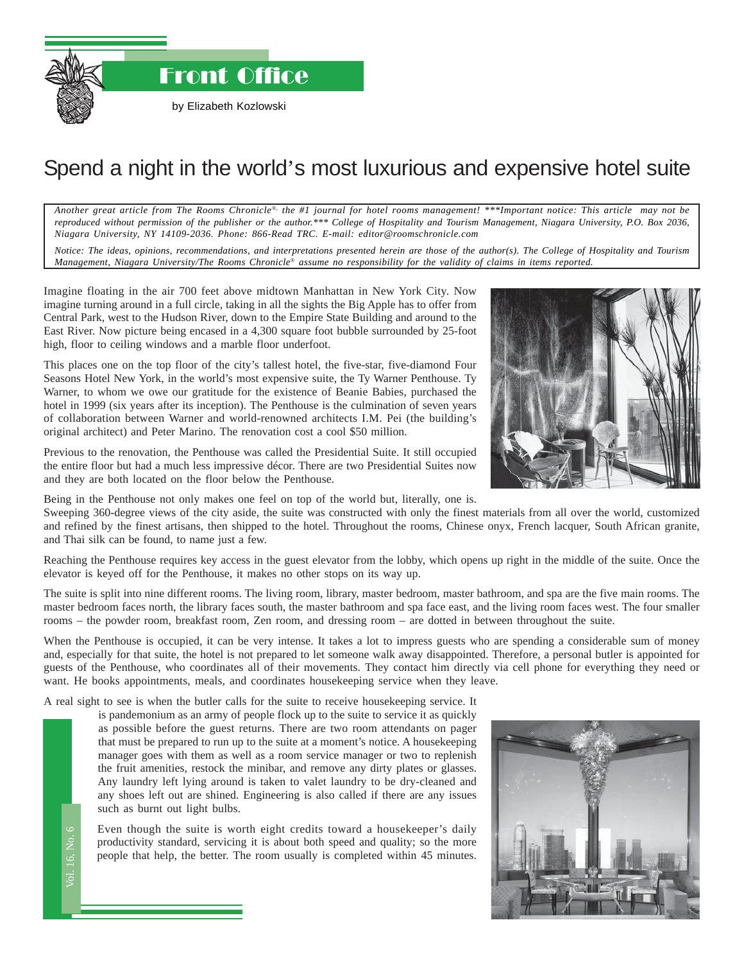Front Office

by Elizabeth Kozlowski

## Spend a night in the world's most luxurious and expensive hotel suite

*Another great article from The Rooms Chronicle*®*, the #1 journal for hotel rooms management! \*\*\*Important notice: This article may not be reproduced without permission of the publisher or the author.\*\*\* College of Hospitality and Tourism Management, Niagara University, P.O. Box 2036, Niagara University, NY 14109-2036. Phone: 866-Read TRC. E-mail: editor@roomschronicle.com*

*Notice: The ideas, opinions, recommendations, and interpretations presented herein are those of the author(s). The College of Hospitality and Tourism Management, Niagara University/The Rooms Chronicle*® *assume no responsibility for the validity of claims in items reported.*

Imagine floating in the air 700 feet above midtown Manhattan in New York City. Now imagine turning around in a full circle, taking in all the sights the Big Apple has to offer from Central Park, west to the Hudson River, down to the Empire State Building and around to the East River. Now picture being encased in a 4,300 square foot bubble surrounded by 25-foot high, floor to ceiling windows and a marble floor underfoot.

This places one on the top floor of the city's tallest hotel, the five-star, five-diamond Four Seasons Hotel New York, in the world's most expensive suite, the Ty Warner Penthouse. Ty Warner, to whom we owe our gratitude for the existence of Beanie Babies, purchased the hotel in 1999 (six years after its inception). The Penthouse is the culmination of seven years of collaboration between Warner and world-renowned architects I.M. Pei (the building's original architect) and Peter Marino. The renovation cost a cool \$50 million.

Previous to the renovation, the Penthouse was called the Presidential Suite. It still occupied the entire floor but had a much less impressive décor. There are two Presidential Suites now and they are both located on the floor below the Penthouse.

Being in the Penthouse not only makes one feel on top of the world but, literally, one is.

Sweeping 360-degree views of the city aside, the suite was constructed with only the finest materials from all over the world, customized and refined by the finest artisans, then shipped to the hotel. Throughout the rooms, Chinese onyx, French lacquer, South African granite, and Thai silk can be found, to name just a few.

Reaching the Penthouse requires key access in the guest elevator from the lobby, which opens up right in the middle of the suite. Once the elevator is keyed off for the Penthouse, it makes no other stops on its way up.

The suite is split into nine different rooms. The living room, library, master bedroom, master bathroom, and spa are the five main rooms. The master bedroom faces north, the library faces south, the master bathroom and spa face east, and the living room faces west. The four smaller rooms – the powder room, breakfast room, Zen room, and dressing room – are dotted in between throughout the suite.

When the Penthouse is occupied, it can be very intense. It takes a lot to impress guests who are spending a considerable sum of money and, especially for that suite, the hotel is not prepared to let someone walk away disappointed. Therefore, a personal butler is appointed for guests of the Penthouse, who coordinates all of their movements. They contact him directly via cell phone for everything they need or want. He books appointments, meals, and coordinates housekeeping service when they leave.

A real sight to see is when the butler calls for the suite to receive house keeping service. It is pandemonium as an army of people flock up to the suite to service it as quickly

is pandemonium as an army of people flock up to the suite to service it as quickly as possible before the guest returns. There are two room attendants on pager that must be prepared to run up to the suite at a moment's notice. A housekeeping manager goes with them as well as a room service manager or two to replenish the fruit amenities, restock the minibar, and remove any dirty plates or glasses. Any laundry left lying around is taken to valet laundry to be dry-cleaned and any shoes left out are shined. Engineering is also called if there are any issues such as burnt out light bulbs.

en<br>du<br>ppl Even though the suite is worth eight credits toward a housekeeper's daily productivity standard, servicing it is about both speed and quality; so the more people that help, the better. The room usually is completed within 45 minutes.



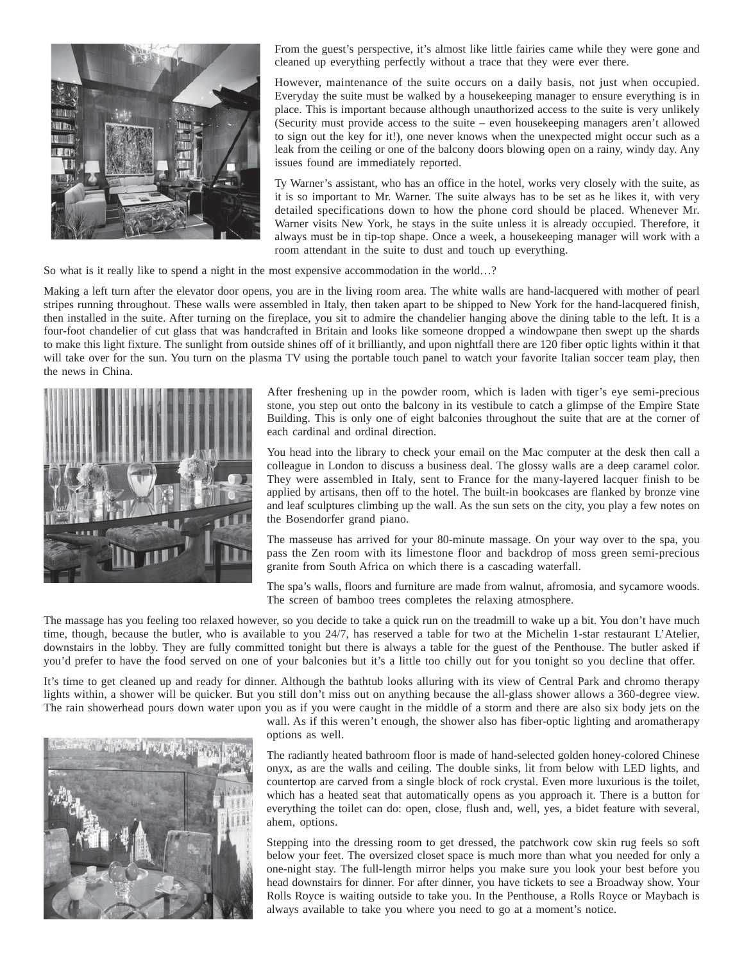

From the guest's perspective, it's almost like little fairies came while they were gone and cleaned up everything perfectly without a trace that they were ever there.

However, maintenance of the suite occurs on a daily basis, not just when occupied. Everyday the suite must be walked by a housekeeping manager to ensure everything is in place. This is important because although unauthorized access to the suite is very unlikely (Security must provide access to the suite – even housekeeping managers aren't allowed to sign out the key for it!), one never knows when the unexpected might occur such as a leak from the ceiling or one of the balcony doors blowing open on a rainy, windy day. Any issues found are immediately reported.

Ty Warner's assistant, who has an office in the hotel, works very closely with the suite, as it is so important to Mr. Warner. The suite always has to be set as he likes it, with very detailed specifications down to how the phone cord should be placed. Whenever Mr. Warner visits New York, he stays in the suite unless it is already occupied. Therefore, it always must be in tip-top shape. Once a week, a housekeeping manager will work with a room attendant in the suite to dust and touch up everything.

So what is it really like to spend a night in the most expensive accommodation in the world…?

Making a left turn after the elevator door opens, you are in the living room area. The white walls are hand-lacquered with mother of pearl stripes running throughout. These walls were assembled in Italy, then taken apart to be shipped to New York for the hand-lacquered finish, then installed in the suite. After turning on the fireplace, you sit to admire the chandelier hanging above the dining table to the left. It is a four-foot chandelier of cut glass that was handcrafted in Britain and looks like someone dropped a windowpane then swept up the shards to make this light fixture. The sunlight from outside shines off of it brilliantly, and upon nightfall there are 120 fiber optic lights within it that will take over for the sun. You turn on the plasma TV using the portable touch panel to watch your favorite Italian soccer team play, then the news in China.



After freshening up in the powder room, which is laden with tiger's eye semi-precious stone, you step out onto the balcony in its vestibule to catch a glimpse of the Empire State Building. This is only one of eight balconies throughout the suite that are at the corner of each cardinal and ordinal direction.

You head into the library to check your email on the Mac computer at the desk then call a colleague in London to discuss a business deal. The glossy walls are a deep caramel color. They were assembled in Italy, sent to France for the many-layered lacquer finish to be applied by artisans, then off to the hotel. The built-in bookcases are flanked by bronze vine and leaf sculptures climbing up the wall. As the sun sets on the city, you play a few notes on the Bosendorfer grand piano.

The masseuse has arrived for your 80-minute massage. On your way over to the spa, you pass the Zen room with its limestone floor and backdrop of moss green semi-precious granite from South Africa on which there is a cascading waterfall.

The spa's walls, floors and furniture are made from walnut, afromosia, and sycamore woods. The screen of bamboo trees completes the relaxing atmosphere.

The massage has you feeling too relaxed however, so you decide to take a quick run on the treadmill to wake up a bit. You don't have much time, though, because the butler, who is available to you 24/7, has reserved a table for two at the Michelin 1-star restaurant L'Atelier, downstairs in the lobby. They are fully committed tonight but there is always a table for the guest of the Penthouse. The butler asked if you'd prefer to have the food served on one of your balconies but it's a little too chilly out for you tonight so you decline that offer.

It's time to get cleaned up and ready for dinner. Although the bathtub looks alluring with its view of Central Park and chromo therapy lights within, a shower will be quicker. But you still don't miss out on anything because the all-glass shower allows a 360-degree view. The rain showerhead pours down water upon you as if you were caught in the middle of a storm and there are also six body jets on the



wall. As if this weren't enough, the shower also has fiber-optic lighting and aromatherapy options as well.

The radiantly heated bathroom floor is made of hand-selected golden honey-colored Chinese onyx, as are the walls and ceiling. The double sinks, lit from below with LED lights, and countertop are carved from a single block of rock crystal. Even more luxurious is the toilet, which has a heated seat that automatically opens as you approach it. There is a button for everything the toilet can do: open, close, flush and, well, yes, a bidet feature with several, ahem, options.

Stepping into the dressing room to get dressed, the patchwork cow skin rug feels so soft below your feet. The oversized closet space is much more than what you needed for only a one-night stay. The full-length mirror helps you make sure you look your best before you head downstairs for dinner. For after dinner, you have tickets to see a Broadway show. Your Rolls Royce is waiting outside to take you. In the Penthouse, a Rolls Royce or Maybach is always available to take you where you need to go at a moment's notice.